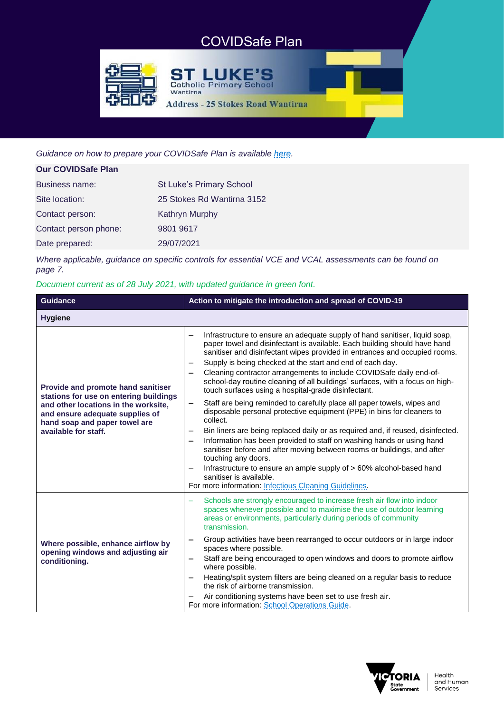# COVIDSafe Plan

**ST LUKE'S Catholic Primary School** 

**Address - 25 Stokes Road Wantirna** 



*Guidance on how to prepare your COVIDSafe Plan is available [here.](https://www.coronavirus.vic.gov.au/covidsafe-plan)*

Wantirna

| <b>Our COVIDSafe Plan</b> |                            |
|---------------------------|----------------------------|
| <b>Business name:</b>     | St Luke's Primary School   |
| Site location:            | 25 Stokes Rd Wantirna 3152 |
| Contact person:           | <b>Kathryn Murphy</b>      |
| Contact person phone:     | 9801 9617                  |
| Date prepared:            | 29/07/2021                 |

*Where applicable, guidance on specific controls for essential VCE and VCAL assessments can be found on page 7.*

## *Document current as of 28 July 2021, with updated guidance in green font.*

| <b>Guidance</b>                                                                                                                                                                                                  | Action to mitigate the introduction and spread of COVID-19                                                                                                                                                                                                                                                                                                                                                                                                                                                                                                                                                                                                                                                                                                                                                                                                                                                                                                                                                                                                                                                                                                                                                           |  |
|------------------------------------------------------------------------------------------------------------------------------------------------------------------------------------------------------------------|----------------------------------------------------------------------------------------------------------------------------------------------------------------------------------------------------------------------------------------------------------------------------------------------------------------------------------------------------------------------------------------------------------------------------------------------------------------------------------------------------------------------------------------------------------------------------------------------------------------------------------------------------------------------------------------------------------------------------------------------------------------------------------------------------------------------------------------------------------------------------------------------------------------------------------------------------------------------------------------------------------------------------------------------------------------------------------------------------------------------------------------------------------------------------------------------------------------------|--|
| <b>Hygiene</b>                                                                                                                                                                                                   |                                                                                                                                                                                                                                                                                                                                                                                                                                                                                                                                                                                                                                                                                                                                                                                                                                                                                                                                                                                                                                                                                                                                                                                                                      |  |
| Provide and promote hand sanitiser<br>stations for use on entering buildings<br>and other locations in the worksite,<br>and ensure adequate supplies of<br>hand soap and paper towel are<br>available for staff. | Infrastructure to ensure an adequate supply of hand sanitiser, liquid soap,<br>paper towel and disinfectant is available. Each building should have hand<br>sanitiser and disinfectant wipes provided in entrances and occupied rooms.<br>Supply is being checked at the start and end of each day.<br>$\overline{\phantom{m}}$<br>Cleaning contractor arrangements to include COVIDSafe daily end-of-<br>school-day routine cleaning of all buildings' surfaces, with a focus on high-<br>touch surfaces using a hospital-grade disinfectant.<br>Staff are being reminded to carefully place all paper towels, wipes and<br>$\overline{\phantom{0}}$<br>disposable personal protective equipment (PPE) in bins for cleaners to<br>collect.<br>Bin liners are being replaced daily or as required and, if reused, disinfected.<br>$\overline{\phantom{m}}$<br>Information has been provided to staff on washing hands or using hand<br>$\qquad \qquad$<br>sanitiser before and after moving between rooms or buildings, and after<br>touching any doors.<br>Infrastructure to ensure an ample supply of > 60% alcohol-based hand<br>sanitiser is available.<br>For more information: Infectious Cleaning Guidelines. |  |
| Where possible, enhance airflow by<br>opening windows and adjusting air<br>conditioning.                                                                                                                         | Schools are strongly encouraged to increase fresh air flow into indoor<br>$\equiv$<br>spaces whenever possible and to maximise the use of outdoor learning<br>areas or environments, particularly during periods of community<br>transmission.<br>Group activities have been rearranged to occur outdoors or in large indoor<br>$\qquad \qquad \blacksquare$<br>spaces where possible.<br>Staff are being encouraged to open windows and doors to promote airflow<br>$\qquad \qquad$<br>where possible.<br>Heating/split system filters are being cleaned on a regular basis to reduce<br>-<br>the risk of airborne transmission.<br>Air conditioning systems have been set to use fresh air.<br>For more information: School Operations Guide.                                                                                                                                                                                                                                                                                                                                                                                                                                                                      |  |

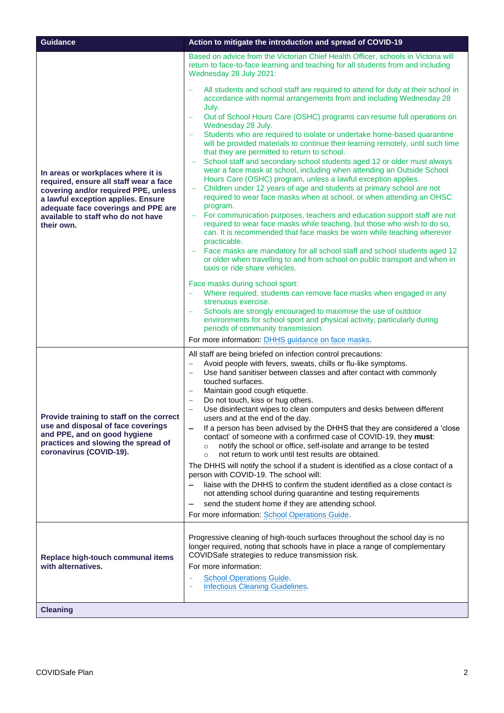| Guidance                                                                                                                                                                                                                                              | Action to mitigate the introduction and spread of COVID-19                                                                                                                                                                                                                                                                                                                                                                                                                                                                                                                                                                                                                                                                                                                                                                                                                                                                                                                                                                                                                                                                                                                                                                                                                                                                                                                                                                                                                                                                                                                                                                                                                                                                                                                                                                                                                                      |
|-------------------------------------------------------------------------------------------------------------------------------------------------------------------------------------------------------------------------------------------------------|-------------------------------------------------------------------------------------------------------------------------------------------------------------------------------------------------------------------------------------------------------------------------------------------------------------------------------------------------------------------------------------------------------------------------------------------------------------------------------------------------------------------------------------------------------------------------------------------------------------------------------------------------------------------------------------------------------------------------------------------------------------------------------------------------------------------------------------------------------------------------------------------------------------------------------------------------------------------------------------------------------------------------------------------------------------------------------------------------------------------------------------------------------------------------------------------------------------------------------------------------------------------------------------------------------------------------------------------------------------------------------------------------------------------------------------------------------------------------------------------------------------------------------------------------------------------------------------------------------------------------------------------------------------------------------------------------------------------------------------------------------------------------------------------------------------------------------------------------------------------------------------------------|
| In areas or workplaces where it is<br>required, ensure all staff wear a face<br>covering and/or required PPE, unless<br>a lawful exception applies. Ensure<br>adequate face coverings and PPE are<br>available to staff who do not have<br>their own. | Based on advice from the Victorian Chief Health Officer, schools in Victoria will<br>return to face-to-face learning and teaching for all students from and including<br>Wednesday 28 July 2021:<br>All students and school staff are required to attend for duty at their school in<br>accordance with normal arrangements from and including Wednesday 28<br>July.<br>Out of School Hours Care (OSHC) programs can resume full operations on<br>Wednesday 28 July.<br>Students who are required to isolate or undertake home-based quarantine<br>will be provided materials to continue their learning remotely, until such time<br>that they are permitted to return to school.<br>School staff and secondary school students aged 12 or older must always<br>wear a face mask at school, including when attending an Outside School<br>Hours Care (OSHC) program, unless a lawful exception applies.<br>Children under 12 years of age and students at primary school are not<br>required to wear face masks when at school, or when attending an OHSC<br>program.<br>For communication purposes, teachers and education support staff are not<br>required to wear face masks while teaching, but those who wish to do so,<br>can. It is recommended that face masks be worn while teaching wherever<br>practicable.<br>Face masks are mandatory for all school staff and school students aged 12<br>or older when travelling to and from school on public transport and when in<br>taxis or ride share vehicles.<br>Face masks during school sport:<br>Where required, students can remove face masks when engaged in any<br>strenuous exercise.<br>Schools are strongly encouraged to maximise the use of outdoor<br>environments for school sport and physical activity, particularly during<br>periods of community transmission.<br>For more information: DHHS guidance on face masks. |
| Provide training to staff on the correct<br>use and disposal of face coverings<br>and PPE, and on good hygiene<br>practices and slowing the spread of<br>coronavirus (COVID-19).                                                                      | All staff are being briefed on infection control precautions:<br>Avoid people with fevers, sweats, chills or flu-like symptoms.<br>Use hand sanitiser between classes and after contact with commonly<br>touched surfaces.<br>Maintain good cough etiquette.<br>Do not touch, kiss or hug others.<br>Use disinfectant wipes to clean computers and desks between different<br>users and at the end of the day.<br>If a person has been advised by the DHHS that they are considered a 'close<br>contact' of someone with a confirmed case of COVID-19, they must:<br>notify the school or office, self-isolate and arrange to be tested<br>$\circ$<br>not return to work until test results are obtained.<br>$\circ$<br>The DHHS will notify the school if a student is identified as a close contact of a<br>person with COVID-19. The school will:<br>liaise with the DHHS to confirm the student identified as a close contact is<br>not attending school during quarantine and testing requirements<br>send the student home if they are attending school.<br>For more information: School Operations Guide.                                                                                                                                                                                                                                                                                                                                                                                                                                                                                                                                                                                                                                                                                                                                                                                |
| Replace high-touch communal items<br>with alternatives.                                                                                                                                                                                               | Progressive cleaning of high-touch surfaces throughout the school day is no<br>longer required, noting that schools have in place a range of complementary<br>COVIDSafe strategies to reduce transmission risk.<br>For more information:<br><b>School Operations Guide.</b><br><b>Infectious Cleaning Guidelines.</b><br>$\qquad \qquad -$                                                                                                                                                                                                                                                                                                                                                                                                                                                                                                                                                                                                                                                                                                                                                                                                                                                                                                                                                                                                                                                                                                                                                                                                                                                                                                                                                                                                                                                                                                                                                      |
| <b>Cleaning</b>                                                                                                                                                                                                                                       |                                                                                                                                                                                                                                                                                                                                                                                                                                                                                                                                                                                                                                                                                                                                                                                                                                                                                                                                                                                                                                                                                                                                                                                                                                                                                                                                                                                                                                                                                                                                                                                                                                                                                                                                                                                                                                                                                                 |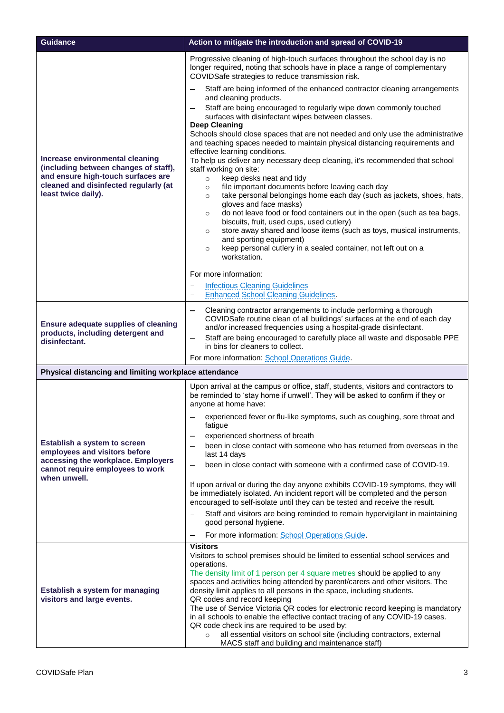| <b>Guidance</b>                                                                  | Action to mitigate the introduction and spread of COVID-19                                                                                                                                                                                                                                                                         |
|----------------------------------------------------------------------------------|------------------------------------------------------------------------------------------------------------------------------------------------------------------------------------------------------------------------------------------------------------------------------------------------------------------------------------|
| Increase environmental cleaning<br>(including between changes of staff),         | Progressive cleaning of high-touch surfaces throughout the school day is no<br>longer required, noting that schools have in place a range of complementary<br>COVIDSafe strategies to reduce transmission risk.                                                                                                                    |
|                                                                                  | Staff are being informed of the enhanced contractor cleaning arrangements<br>and cleaning products.                                                                                                                                                                                                                                |
|                                                                                  | Staff are being encouraged to regularly wipe down commonly touched<br>surfaces with disinfectant wipes between classes.                                                                                                                                                                                                            |
|                                                                                  | <b>Deep Cleaning</b><br>Schools should close spaces that are not needed and only use the administrative<br>and teaching spaces needed to maintain physical distancing requirements and<br>effective learning conditions.<br>To help us deliver any necessary deep cleaning, it's recommended that school<br>staff working on site: |
| and ensure high-touch surfaces are<br>cleaned and disinfected regularly (at      | keep desks neat and tidy<br>$\circ$<br>file important documents before leaving each day<br>$\circ$                                                                                                                                                                                                                                 |
| least twice daily).                                                              | take personal belongings home each day (such as jackets, shoes, hats,<br>$\circ$<br>gloves and face masks)<br>do not leave food or food containers out in the open (such as tea bags,<br>$\circ$                                                                                                                                   |
|                                                                                  | biscuits, fruit, used cups, used cutlery)<br>store away shared and loose items (such as toys, musical instruments,<br>$\circ$                                                                                                                                                                                                      |
|                                                                                  | and sporting equipment)<br>keep personal cutlery in a sealed container, not left out on a<br>$\circ$<br>workstation.                                                                                                                                                                                                               |
|                                                                                  | For more information:                                                                                                                                                                                                                                                                                                              |
|                                                                                  | <b>Infectious Cleaning Guidelines</b>                                                                                                                                                                                                                                                                                              |
|                                                                                  | <b>Enhanced School Cleaning Guidelines.</b>                                                                                                                                                                                                                                                                                        |
|                                                                                  | Cleaning contractor arrangements to include performing a thorough<br>COVIDSafe routine clean of all buildings' surfaces at the end of each day                                                                                                                                                                                     |
| <b>Ensure adequate supplies of cleaning</b><br>products, including detergent and | and/or increased frequencies using a hospital-grade disinfectant.<br>Staff are being encouraged to carefully place all waste and disposable PPE<br>-                                                                                                                                                                               |
| disinfectant.                                                                    | in bins for cleaners to collect.                                                                                                                                                                                                                                                                                                   |
|                                                                                  | For more information: School Operations Guide.                                                                                                                                                                                                                                                                                     |
| Physical distancing and limiting workplace attendance                            |                                                                                                                                                                                                                                                                                                                                    |
|                                                                                  | Upon arrival at the campus or office, staff, students, visitors and contractors to<br>be reminded to 'stay home if unwell'. They will be asked to confirm if they or<br>anyone at home have:                                                                                                                                       |
|                                                                                  | experienced fever or flu-like symptoms, such as coughing, sore throat and<br>fatigue                                                                                                                                                                                                                                               |
| Establish a system to screen                                                     | experienced shortness of breath<br>been in close contact with someone who has returned from overseas in the                                                                                                                                                                                                                        |
| employees and visitors before<br>accessing the workplace. Employers              | last 14 days                                                                                                                                                                                                                                                                                                                       |
| cannot require employees to work<br>when unwell.                                 | been in close contact with someone with a confirmed case of COVID-19.                                                                                                                                                                                                                                                              |
|                                                                                  | If upon arrival or during the day anyone exhibits COVID-19 symptoms, they will<br>be immediately isolated. An incident report will be completed and the person<br>encouraged to self-isolate until they can be tested and receive the result.                                                                                      |
|                                                                                  | Staff and visitors are being reminded to remain hypervigilant in maintaining<br>good personal hygiene.                                                                                                                                                                                                                             |
|                                                                                  | For more information: School Operations Guide.                                                                                                                                                                                                                                                                                     |
|                                                                                  | <b>Visitors</b><br>Visitors to school premises should be limited to essential school services and                                                                                                                                                                                                                                  |
| Establish a system for managing<br>visitors and large events.                    | operations.<br>The density limit of 1 person per 4 square metres should be applied to any<br>spaces and activities being attended by parent/carers and other visitors. The                                                                                                                                                         |
|                                                                                  | density limit applies to all persons in the space, including students.<br>QR codes and record keeping                                                                                                                                                                                                                              |
|                                                                                  | The use of Service Victoria QR codes for electronic record keeping is mandatory<br>in all schools to enable the effective contact tracing of any COVID-19 cases.<br>QR code check ins are required to be used by:                                                                                                                  |
|                                                                                  | all essential visitors on school site (including contractors, external<br>$\circ$<br>MACS staff and building and maintenance staff)                                                                                                                                                                                                |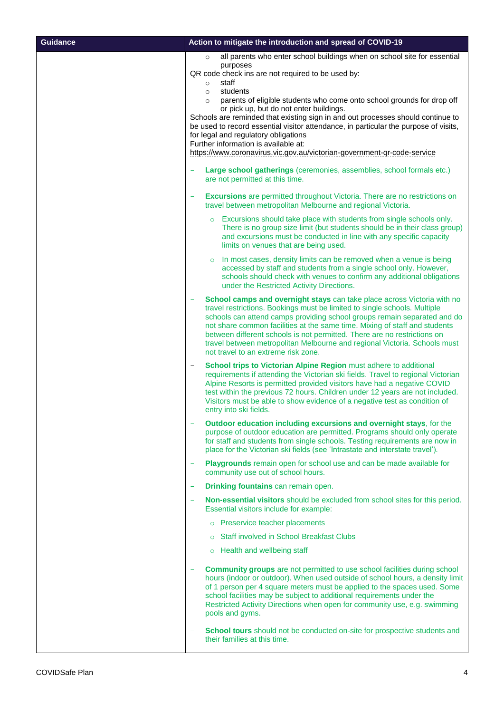| <b>Guidance</b> | Action to mitigate the introduction and spread of COVID-19                                                                                                                        |
|-----------------|-----------------------------------------------------------------------------------------------------------------------------------------------------------------------------------|
|                 | all parents who enter school buildings when on school site for essential<br>$\circ$                                                                                               |
|                 | purposes<br>QR code check ins are not required to be used by:                                                                                                                     |
|                 | staff<br>$\circ$                                                                                                                                                                  |
|                 | students<br>$\circ$<br>parents of eligible students who come onto school grounds for drop off<br>$\circ$                                                                          |
|                 | or pick up, but do not enter buildings.                                                                                                                                           |
|                 | Schools are reminded that existing sign in and out processes should continue to<br>be used to record essential visitor attendance, in particular the purpose of visits,           |
|                 | for legal and regulatory obligations                                                                                                                                              |
|                 | Further information is available at:<br>https://www.coronavirus.vic.gov.au/victorian-government-gr-code-service                                                                   |
|                 |                                                                                                                                                                                   |
|                 | Large school gatherings (ceremonies, assemblies, school formals etc.)<br>are not permitted at this time.                                                                          |
|                 | <b>Excursions</b> are permitted throughout Victoria. There are no restrictions on<br>travel between metropolitan Melbourne and regional Victoria.                                 |
|                 | Excursions should take place with students from single schools only.<br>$\circ$<br>There is no group size limit (but students should be in their class group)                     |
|                 | and excursions must be conducted in line with any specific capacity<br>limits on venues that are being used.                                                                      |
|                 | In most cases, density limits can be removed when a venue is being<br>$\circ$                                                                                                     |
|                 | accessed by staff and students from a single school only. However,<br>schools should check with venues to confirm any additional obligations                                      |
|                 | under the Restricted Activity Directions.                                                                                                                                         |
|                 | School camps and overnight stays can take place across Victoria with no                                                                                                           |
|                 | travel restrictions. Bookings must be limited to single schools. Multiple<br>schools can attend camps providing school groups remain separated and do                             |
|                 | not share common facilities at the same time. Mixing of staff and students<br>between different schools is not permitted. There are no restrictions on                            |
|                 | travel between metropolitan Melbourne and regional Victoria. Schools must                                                                                                         |
|                 | not travel to an extreme risk zone.                                                                                                                                               |
|                 | School trips to Victorian Alpine Region must adhere to additional<br>$\overline{\phantom{m}}$<br>requirements if attending the Victorian ski fields. Travel to regional Victorian |
|                 | Alpine Resorts is permitted provided visitors have had a negative COVID                                                                                                           |
|                 | test within the previous 72 hours. Children under 12 years are not included.<br>Visitors must be able to show evidence of a negative test as condition of                         |
|                 | entry into ski fields.                                                                                                                                                            |
|                 | Outdoor education including excursions and overnight stays, for the                                                                                                               |
|                 | purpose of outdoor education are permitted. Programs should only operate<br>for staff and students from single schools. Testing requirements are now in                           |
|                 | place for the Victorian ski fields (see 'Intrastate and interstate travel').                                                                                                      |
|                 | Playgrounds remain open for school use and can be made available for<br>community use out of school hours.                                                                        |
|                 | <b>Drinking fountains</b> can remain open.                                                                                                                                        |
|                 | Non-essential visitors should be excluded from school sites for this period.<br>Essential visitors include for example:                                                           |
|                 | o Preservice teacher placements                                                                                                                                                   |
|                 | <b>Staff involved in School Breakfast Clubs</b>                                                                                                                                   |
|                 | Health and wellbeing staff                                                                                                                                                        |
|                 | <b>Community groups</b> are not permitted to use school facilities during school                                                                                                  |
|                 | hours (indoor or outdoor). When used outside of school hours, a density limit                                                                                                     |
|                 | of 1 person per 4 square meters must be applied to the spaces used. Some<br>school facilities may be subject to additional requirements under the                                 |
|                 | Restricted Activity Directions when open for community use, e.g. swimming<br>pools and gyms.                                                                                      |
|                 |                                                                                                                                                                                   |
|                 | School tours should not be conducted on-site for prospective students and<br>their families at this time.                                                                         |
|                 |                                                                                                                                                                                   |

 $\mathbf{I}$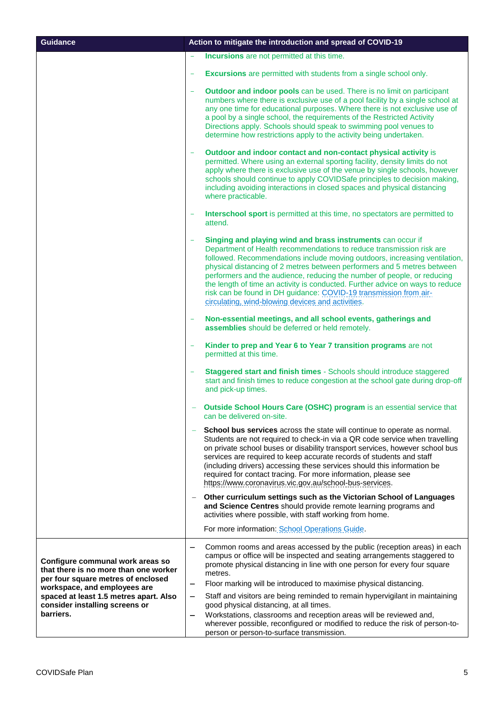| <b>Guidance</b>                                                                                                 | Action to mitigate the introduction and spread of COVID-19                                                                                                                                                                                                                                                                                                                                                                                                                                                                                                                         |
|-----------------------------------------------------------------------------------------------------------------|------------------------------------------------------------------------------------------------------------------------------------------------------------------------------------------------------------------------------------------------------------------------------------------------------------------------------------------------------------------------------------------------------------------------------------------------------------------------------------------------------------------------------------------------------------------------------------|
|                                                                                                                 | Incursions are not permitted at this time.                                                                                                                                                                                                                                                                                                                                                                                                                                                                                                                                         |
|                                                                                                                 | <b>Excursions</b> are permitted with students from a single school only.                                                                                                                                                                                                                                                                                                                                                                                                                                                                                                           |
|                                                                                                                 | Outdoor and indoor pools can be used. There is no limit on participant<br>$\overline{\phantom{0}}$<br>numbers where there is exclusive use of a pool facility by a single school at<br>any one time for educational purposes. Where there is not exclusive use of<br>a pool by a single school, the requirements of the Restricted Activity<br>Directions apply. Schools should speak to swimming pool venues to<br>determine how restrictions apply to the activity being undertaken.                                                                                             |
|                                                                                                                 | Outdoor and indoor contact and non-contact physical activity is<br>$\equiv$<br>permitted. Where using an external sporting facility, density limits do not<br>apply where there is exclusive use of the venue by single schools, however<br>schools should continue to apply COVIDSafe principles to decision making,<br>including avoiding interactions in closed spaces and physical distancing<br>where practicable.                                                                                                                                                            |
|                                                                                                                 | Interschool sport is permitted at this time, no spectators are permitted to<br>attend.                                                                                                                                                                                                                                                                                                                                                                                                                                                                                             |
|                                                                                                                 | Singing and playing wind and brass instruments can occur if<br>Department of Health recommendations to reduce transmission risk are<br>followed. Recommendations include moving outdoors, increasing ventilation,<br>physical distancing of 2 metres between performers and 5 metres between<br>performers and the audience, reducing the number of people, or reducing<br>the length of time an activity is conducted. Further advice on ways to reduce<br>risk can be found in DH guidance: COVID-19 transmission from air-<br>circulating, wind-blowing devices and activities. |
|                                                                                                                 | Non-essential meetings, and all school events, gatherings and<br>۳<br>assemblies should be deferred or held remotely.                                                                                                                                                                                                                                                                                                                                                                                                                                                              |
|                                                                                                                 | Kinder to prep and Year 6 to Year 7 transition programs are not<br>$\equiv$<br>permitted at this time.                                                                                                                                                                                                                                                                                                                                                                                                                                                                             |
|                                                                                                                 | Staggered start and finish times - Schools should introduce staggered<br>start and finish times to reduce congestion at the school gate during drop-off<br>and pick-up times.                                                                                                                                                                                                                                                                                                                                                                                                      |
|                                                                                                                 | Outside School Hours Care (OSHC) program is an essential service that<br>can be delivered on-site.                                                                                                                                                                                                                                                                                                                                                                                                                                                                                 |
|                                                                                                                 | School bus services across the state will continue to operate as normal.<br>Students are not required to check-in via a QR code service when travelling<br>on private school buses or disability transport services, however school bus<br>services are required to keep accurate records of students and staff<br>(including drivers) accessing these services should this information be<br>required for contact tracing. For more information, please see<br>https://www.coronavirus.vic.gov.au/school-bus-services.                                                            |
|                                                                                                                 | Other curriculum settings such as the Victorian School of Languages<br>and Science Centres should provide remote learning programs and<br>activities where possible, with staff working from home.                                                                                                                                                                                                                                                                                                                                                                                 |
|                                                                                                                 | For more information: School Operations Guide.                                                                                                                                                                                                                                                                                                                                                                                                                                                                                                                                     |
| Configure communal work areas so<br>that there is no more than one worker<br>per four square metres of enclosed | Common rooms and areas accessed by the public (reception areas) in each<br>campus or office will be inspected and seating arrangements staggered to<br>promote physical distancing in line with one person for every four square<br>metres.                                                                                                                                                                                                                                                                                                                                        |
| workspace, and employees are                                                                                    | Floor marking will be introduced to maximise physical distancing.<br>—                                                                                                                                                                                                                                                                                                                                                                                                                                                                                                             |
| spaced at least 1.5 metres apart. Also<br>consider installing screens or                                        | Staff and visitors are being reminded to remain hypervigilant in maintaining<br>-<br>good physical distancing, at all times.                                                                                                                                                                                                                                                                                                                                                                                                                                                       |
| barriers.                                                                                                       | Workstations, classrooms and reception areas will be reviewed and,<br>$\qquad \qquad$<br>wherever possible, reconfigured or modified to reduce the risk of person-to-<br>person or person-to-surface transmission.                                                                                                                                                                                                                                                                                                                                                                 |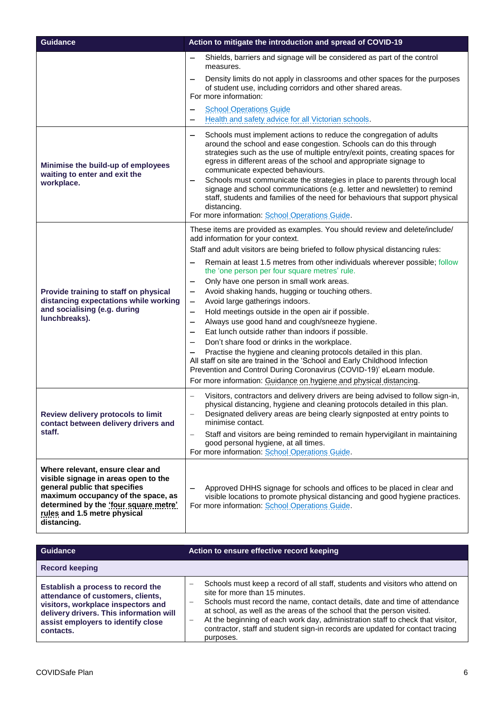| <b>Guidance</b>                                                                                                                                                                                                                         | Action to mitigate the introduction and spread of COVID-19                                                                                                                                                                                                                                                                                                                                                                                                                                                                                                                                                                                                                                                                                                                                                                                                                                                                                                                                                                                   |
|-----------------------------------------------------------------------------------------------------------------------------------------------------------------------------------------------------------------------------------------|----------------------------------------------------------------------------------------------------------------------------------------------------------------------------------------------------------------------------------------------------------------------------------------------------------------------------------------------------------------------------------------------------------------------------------------------------------------------------------------------------------------------------------------------------------------------------------------------------------------------------------------------------------------------------------------------------------------------------------------------------------------------------------------------------------------------------------------------------------------------------------------------------------------------------------------------------------------------------------------------------------------------------------------------|
|                                                                                                                                                                                                                                         | Shields, barriers and signage will be considered as part of the control<br>measures.                                                                                                                                                                                                                                                                                                                                                                                                                                                                                                                                                                                                                                                                                                                                                                                                                                                                                                                                                         |
|                                                                                                                                                                                                                                         | Density limits do not apply in classrooms and other spaces for the purposes<br>of student use, including corridors and other shared areas.<br>For more information:                                                                                                                                                                                                                                                                                                                                                                                                                                                                                                                                                                                                                                                                                                                                                                                                                                                                          |
|                                                                                                                                                                                                                                         | <b>School Operations Guide</b><br>Health and safety advice for all Victorian schools.                                                                                                                                                                                                                                                                                                                                                                                                                                                                                                                                                                                                                                                                                                                                                                                                                                                                                                                                                        |
| Minimise the build-up of employees<br>waiting to enter and exit the<br>workplace.                                                                                                                                                       | Schools must implement actions to reduce the congregation of adults<br>$\qquad \qquad$<br>around the school and ease congestion. Schools can do this through<br>strategies such as the use of multiple entry/exit points, creating spaces for<br>egress in different areas of the school and appropriate signage to<br>communicate expected behaviours.<br>Schools must communicate the strategies in place to parents through local<br>$\overline{\phantom{m}}$<br>signage and school communications (e.g. letter and newsletter) to remind<br>staff, students and families of the need for behaviours that support physical<br>distancing.<br>For more information: School Operations Guide.                                                                                                                                                                                                                                                                                                                                               |
| Provide training to staff on physical<br>distancing expectations while working<br>and socialising (e.g. during<br>lunchbreaks).                                                                                                         | These items are provided as examples. You should review and delete/include/<br>add information for your context.<br>Staff and adult visitors are being briefed to follow physical distancing rules:<br>Remain at least 1.5 metres from other individuals wherever possible; follow<br>the 'one person per four square metres' rule.<br>Only have one person in small work areas.<br>-<br>Avoid shaking hands, hugging or touching others.<br>-<br>Avoid large gatherings indoors.<br>—<br>Hold meetings outside in the open air if possible.<br>$\qquad \qquad$<br>Always use good hand and cough/sneeze hygiene.<br>$\qquad \qquad$<br>Eat lunch outside rather than indoors if possible.<br>Don't share food or drinks in the workplace.<br>Practise the hygiene and cleaning protocols detailed in this plan.<br>All staff on site are trained in the 'School and Early Childhood Infection<br>Prevention and Control During Coronavirus (COVID-19)' eLearn module.<br>For more information: Guidance on hygiene and physical distancing. |
| Review delivery protocols to limit<br>contact between delivery drivers and<br>staff.                                                                                                                                                    | Visitors, contractors and delivery drivers are being advised to follow sign-in,<br>physical distancing, hygiene and cleaning protocols detailed in this plan.<br>Designated delivery areas are being clearly signposted at entry points to<br>minimise contact.<br>Staff and visitors are being reminded to remain hypervigilant in maintaining<br>good personal hygiene, at all times.<br>For more information: School Operations Guide.                                                                                                                                                                                                                                                                                                                                                                                                                                                                                                                                                                                                    |
| Where relevant, ensure clear and<br>visible signage in areas open to the<br>general public that specifies<br>maximum occupancy of the space, as<br>determined by the 'four square metre'<br>rules and 1.5 metre physical<br>distancing. | Approved DHHS signage for schools and offices to be placed in clear and<br>visible locations to promote physical distancing and good hygiene practices.<br>For more information: School Operations Guide.                                                                                                                                                                                                                                                                                                                                                                                                                                                                                                                                                                                                                                                                                                                                                                                                                                    |

| Guidance                                                                                                                                                                                                   | Action to ensure effective record keeping                                                                                                                                                                                                                                                                                                                                                                                                                                          |
|------------------------------------------------------------------------------------------------------------------------------------------------------------------------------------------------------------|------------------------------------------------------------------------------------------------------------------------------------------------------------------------------------------------------------------------------------------------------------------------------------------------------------------------------------------------------------------------------------------------------------------------------------------------------------------------------------|
| <b>Record keeping</b>                                                                                                                                                                                      |                                                                                                                                                                                                                                                                                                                                                                                                                                                                                    |
| Establish a process to record the<br>attendance of customers, clients,<br>visitors, workplace inspectors and<br>delivery drivers. This information will<br>assist employers to identify close<br>contacts. | Schools must keep a record of all staff, students and visitors who attend on<br>site for more than 15 minutes.<br>Schools must record the name, contact details, date and time of attendance<br>$\overline{\phantom{m}}$<br>at school, as well as the areas of the school that the person visited.<br>At the beginning of each work day, administration staff to check that visitor,<br>contractor, staff and student sign-in records are updated for contact tracing<br>purposes. |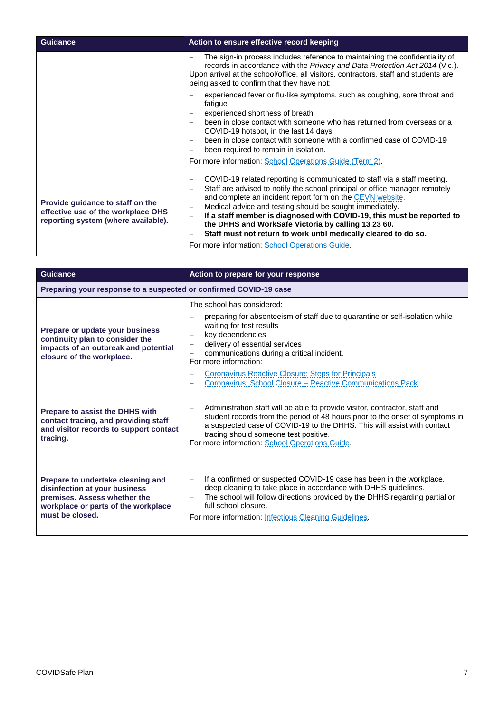| <b>Guidance</b>                                                                                               | Action to ensure effective record keeping                                                                                                                                                                                                                                                                                                                                                                                                                                                                                                                          |
|---------------------------------------------------------------------------------------------------------------|--------------------------------------------------------------------------------------------------------------------------------------------------------------------------------------------------------------------------------------------------------------------------------------------------------------------------------------------------------------------------------------------------------------------------------------------------------------------------------------------------------------------------------------------------------------------|
|                                                                                                               | The sign-in process includes reference to maintaining the confidentiality of<br>records in accordance with the Privacy and Data Protection Act 2014 (Vic.).<br>Upon arrival at the school/office, all visitors, contractors, staff and students are<br>being asked to confirm that they have not:                                                                                                                                                                                                                                                                  |
|                                                                                                               | experienced fever or flu-like symptoms, such as coughing, sore throat and<br>fatigue<br>experienced shortness of breath<br>been in close contact with someone who has returned from overseas or a<br>COVID-19 hotspot, in the last 14 days<br>been in close contact with someone with a confirmed case of COVID-19<br>been required to remain in isolation.<br>For more information: School Operations Guide (Term 2).                                                                                                                                             |
| Provide guidance to staff on the<br>effective use of the workplace OHS<br>reporting system (where available). | COVID-19 related reporting is communicated to staff via a staff meeting.<br>Staff are advised to notify the school principal or office manager remotely<br>and complete an incident report form on the CEVN website.<br>Medical advice and testing should be sought immediately.<br>If a staff member is diagnosed with COVID-19, this must be reported to<br>$\overline{\phantom{0}}$<br>the DHHS and WorkSafe Victoria by calling 13 23 60.<br>Staff must not return to work until medically cleared to do so.<br>For more information: School Operations Guide. |

| <b>Guidance</b>                                                                                                                                              | Action to prepare for your response                                                                                                                                                                                                                                                                                                              |
|--------------------------------------------------------------------------------------------------------------------------------------------------------------|--------------------------------------------------------------------------------------------------------------------------------------------------------------------------------------------------------------------------------------------------------------------------------------------------------------------------------------------------|
| Preparing your response to a suspected or confirmed COVID-19 case                                                                                            |                                                                                                                                                                                                                                                                                                                                                  |
| Prepare or update your business<br>continuity plan to consider the<br>impacts of an outbreak and potential<br>closure of the workplace.                      | The school has considered:<br>preparing for absenteeism of staff due to quarantine or self-isolation while<br>waiting for test results<br>key dependencies<br>$\qquad \qquad -$<br>delivery of essential services<br>$\overline{\phantom{0}}$<br>communications during a critical incident.<br>$\overline{\phantom{0}}$<br>For more information: |
|                                                                                                                                                              | Coronavirus Reactive Closure: Steps for Principals<br>Coronavirus: School Closure - Reactive Communications Pack.                                                                                                                                                                                                                                |
| <b>Prepare to assist the DHHS with</b><br>contact tracing, and providing staff<br>and visitor records to support contact<br>tracing.                         | Administration staff will be able to provide visitor, contractor, staff and<br>student records from the period of 48 hours prior to the onset of symptoms in<br>a suspected case of COVID-19 to the DHHS. This will assist with contact<br>tracing should someone test positive.<br>For more information: School Operations Guide.               |
| Prepare to undertake cleaning and<br>disinfection at your business<br>premises. Assess whether the<br>workplace or parts of the workplace<br>must be closed. | If a confirmed or suspected COVID-19 case has been in the workplace.<br>deep cleaning to take place in accordance with DHHS guidelines.<br>The school will follow directions provided by the DHHS regarding partial or<br>$\qquad \qquad -$<br>full school closure.<br>For more information: Infectious Cleaning Guidelines.                     |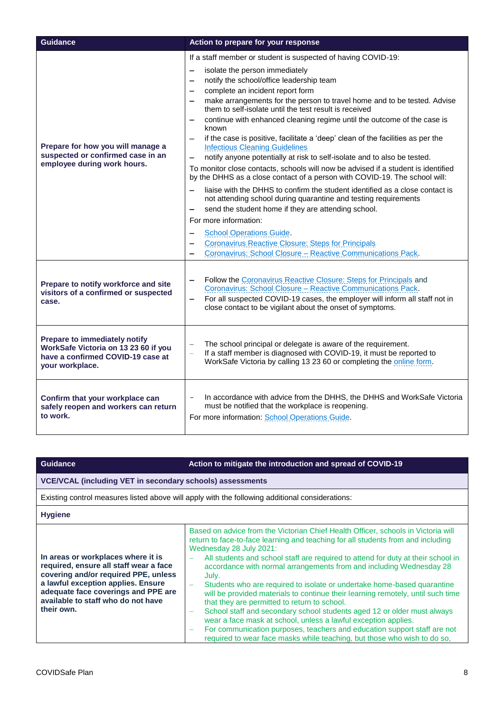| <b>Guidance</b>                                                                                                               | Action to prepare for your response                                                                                                                                                                                                                                                                                                                                                                                                                                                                                                                                                                                                                                                                                                                                                                                                                                                                                                                                                                                                                                                                                                                                                                                                          |
|-------------------------------------------------------------------------------------------------------------------------------|----------------------------------------------------------------------------------------------------------------------------------------------------------------------------------------------------------------------------------------------------------------------------------------------------------------------------------------------------------------------------------------------------------------------------------------------------------------------------------------------------------------------------------------------------------------------------------------------------------------------------------------------------------------------------------------------------------------------------------------------------------------------------------------------------------------------------------------------------------------------------------------------------------------------------------------------------------------------------------------------------------------------------------------------------------------------------------------------------------------------------------------------------------------------------------------------------------------------------------------------|
| Prepare for how you will manage a<br>suspected or confirmed case in an<br>employee during work hours.                         | If a staff member or student is suspected of having COVID-19:<br>isolate the person immediately<br>$\overline{\phantom{0}}$<br>notify the school/office leadership team<br>complete an incident report form<br>make arrangements for the person to travel home and to be tested. Advise<br>—<br>them to self-isolate until the test result is received<br>continue with enhanced cleaning regime until the outcome of the case is<br>$\overline{\phantom{0}}$<br>known<br>if the case is positive, facilitate a 'deep' clean of the facilities as per the<br><b>Infectious Cleaning Guidelines</b><br>notify anyone potentially at risk to self-isolate and to also be tested.<br>To monitor close contacts, schools will now be advised if a student is identified<br>by the DHHS as a close contact of a person with COVID-19. The school will:<br>liaise with the DHHS to confirm the student identified as a close contact is<br>not attending school during quarantine and testing requirements<br>send the student home if they are attending school.<br>For more information:<br><b>School Operations Guide.</b><br>Coronavirus Reactive Closure: Steps for Principals<br>Coronavirus: School Closure - Reactive Communications Pack. |
| Prepare to notify workforce and site<br>visitors of a confirmed or suspected<br>case.                                         | Follow the Coronavirus Reactive Closure: Steps for Principals and<br>Coronavirus: School Closure - Reactive Communications Pack.<br>For all suspected COVID-19 cases, the employer will inform all staff not in<br>$\overline{\phantom{0}}$<br>close contact to be vigilant about the onset of symptoms.                                                                                                                                                                                                                                                                                                                                                                                                                                                                                                                                                                                                                                                                                                                                                                                                                                                                                                                                     |
| Prepare to immediately notify<br>WorkSafe Victoria on 13 23 60 if you<br>have a confirmed COVID-19 case at<br>your workplace. | The school principal or delegate is aware of the requirement.<br>$\equiv$<br>If a staff member is diagnosed with COVID-19, it must be reported to<br>$\equiv$<br>WorkSafe Victoria by calling 13 23 60 or completing the online form.                                                                                                                                                                                                                                                                                                                                                                                                                                                                                                                                                                                                                                                                                                                                                                                                                                                                                                                                                                                                        |
| Confirm that your workplace can<br>safely reopen and workers can return<br>to work.                                           | In accordance with advice from the DHHS, the DHHS and WorkSafe Victoria<br>must be notified that the workplace is reopening.<br>For more information: School Operations Guide.                                                                                                                                                                                                                                                                                                                                                                                                                                                                                                                                                                                                                                                                                                                                                                                                                                                                                                                                                                                                                                                               |

# **Guidance Action to mitigate the introduction and spread of COVID-19**

### **VCE/VCAL (including VET in secondary schools) assessments**

Existing control measures listed above will apply with the following additional considerations:

### **Hygiene**

| In areas or workplaces where it is<br>required, ensure all staff wear a face<br>covering and/or required PPE, unless<br>a lawful exception applies. Ensure<br>adequate face coverings and PPE are<br>available to staff who do not have<br>their own. | Based on advice from the Victorian Chief Health Officer, schools in Victoria will<br>return to face-to-face learning and teaching for all students from and including<br>Wednesday 28 July 2021:<br>All students and school staff are required to attend for duty at their school in<br>accordance with normal arrangements from and including Wednesday 28<br>July.<br>Students who are required to isolate or undertake home-based quarantine<br>-<br>will be provided materials to continue their learning remotely, until such time<br>that they are permitted to return to school.<br>School staff and secondary school students aged 12 or older must always<br>wear a face mask at school, unless a lawful exception applies.<br>For communication purposes, teachers and education support staff are not<br>required to wear face masks while teaching, but those who wish to do so, |
|-------------------------------------------------------------------------------------------------------------------------------------------------------------------------------------------------------------------------------------------------------|----------------------------------------------------------------------------------------------------------------------------------------------------------------------------------------------------------------------------------------------------------------------------------------------------------------------------------------------------------------------------------------------------------------------------------------------------------------------------------------------------------------------------------------------------------------------------------------------------------------------------------------------------------------------------------------------------------------------------------------------------------------------------------------------------------------------------------------------------------------------------------------------|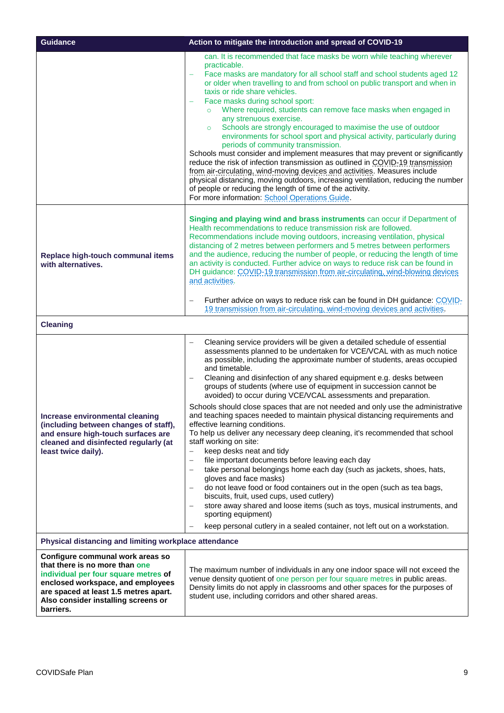| <b>Guidance</b>                                                                                                                                                                                                                              | Action to mitigate the introduction and spread of COVID-19                                                                                                                                                                                                                                                                                                                                                                                                                                                                                                                                                                                                                                                                                                                                                                                                                                                                                                                                                                                                                                                                                                                                                                                                                                                                                                        |  |
|----------------------------------------------------------------------------------------------------------------------------------------------------------------------------------------------------------------------------------------------|-------------------------------------------------------------------------------------------------------------------------------------------------------------------------------------------------------------------------------------------------------------------------------------------------------------------------------------------------------------------------------------------------------------------------------------------------------------------------------------------------------------------------------------------------------------------------------------------------------------------------------------------------------------------------------------------------------------------------------------------------------------------------------------------------------------------------------------------------------------------------------------------------------------------------------------------------------------------------------------------------------------------------------------------------------------------------------------------------------------------------------------------------------------------------------------------------------------------------------------------------------------------------------------------------------------------------------------------------------------------|--|
|                                                                                                                                                                                                                                              | can. It is recommended that face masks be worn while teaching wherever<br>practicable.<br>Face masks are mandatory for all school staff and school students aged 12<br>or older when travelling to and from school on public transport and when in<br>taxis or ride share vehicles.<br>Face masks during school sport:<br>Where required, students can remove face masks when engaged in<br>$\circ$<br>any strenuous exercise.<br>Schools are strongly encouraged to maximise the use of outdoor<br>$\circ$<br>environments for school sport and physical activity, particularly during<br>periods of community transmission.<br>Schools must consider and implement measures that may prevent or significantly<br>reduce the risk of infection transmission as outlined in COVID-19 transmission<br>from air-circulating, wind-moving devices and activities. Measures include<br>physical distancing, moving outdoors, increasing ventilation, reducing the number<br>of people or reducing the length of time of the activity.<br>For more information: School Operations Guide.                                                                                                                                                                                                                                                                               |  |
| Replace high-touch communal items<br>with alternatives.                                                                                                                                                                                      | Singing and playing wind and brass instruments can occur if Department of<br>Health recommendations to reduce transmission risk are followed.<br>Recommendations include moving outdoors, increasing ventilation, physical<br>distancing of 2 metres between performers and 5 metres between performers<br>and the audience, reducing the number of people, or reducing the length of time<br>an activity is conducted. Further advice on ways to reduce risk can be found in<br>DH guidance: COVID-19 transmission from air-circulating, wind-blowing devices<br>and activities.<br>Further advice on ways to reduce risk can be found in DH guidance: COVID-<br>19 transmission from air-circulating, wind-moving devices and activities.                                                                                                                                                                                                                                                                                                                                                                                                                                                                                                                                                                                                                       |  |
| <b>Cleaning</b>                                                                                                                                                                                                                              |                                                                                                                                                                                                                                                                                                                                                                                                                                                                                                                                                                                                                                                                                                                                                                                                                                                                                                                                                                                                                                                                                                                                                                                                                                                                                                                                                                   |  |
| Increase environmental cleaning<br>(including between changes of staff),<br>and ensure high-touch surfaces are<br>cleaned and disinfected regularly (at<br>least twice daily).                                                               | Cleaning service providers will be given a detailed schedule of essential<br>assessments planned to be undertaken for VCE/VCAL with as much notice<br>as possible, including the approximate number of students, areas occupied<br>and timetable.<br>Cleaning and disinfection of any shared equipment e.g. desks between<br>groups of students (where use of equipment in succession cannot be<br>avoided) to occur during VCE/VCAL assessments and preparation.<br>Schools should close spaces that are not needed and only use the administrative<br>and teaching spaces needed to maintain physical distancing requirements and<br>effective learning conditions.<br>To help us deliver any necessary deep cleaning, it's recommended that school<br>staff working on site:<br>keep desks neat and tidy<br>$\overline{\phantom{m}}$<br>file important documents before leaving each day<br>$\overline{\phantom{m}}$<br>take personal belongings home each day (such as jackets, shoes, hats,<br>gloves and face masks)<br>do not leave food or food containers out in the open (such as tea bags,<br>biscuits, fruit, used cups, used cutlery)<br>store away shared and loose items (such as toys, musical instruments, and<br>sporting equipment)<br>keep personal cutlery in a sealed container, not left out on a workstation.<br>$\overline{\phantom{m}}$ |  |
| Physical distancing and limiting workplace attendance                                                                                                                                                                                        |                                                                                                                                                                                                                                                                                                                                                                                                                                                                                                                                                                                                                                                                                                                                                                                                                                                                                                                                                                                                                                                                                                                                                                                                                                                                                                                                                                   |  |
| Configure communal work areas so<br>that there is no more than one<br>individual per four square metres of<br>enclosed workspace, and employees<br>are spaced at least 1.5 metres apart.<br>Also consider installing screens or<br>barriers. | The maximum number of individuals in any one indoor space will not exceed the<br>venue density quotient of one person per four square metres in public areas.<br>Density limits do not apply in classrooms and other spaces for the purposes of<br>student use, including corridors and other shared areas.                                                                                                                                                                                                                                                                                                                                                                                                                                                                                                                                                                                                                                                                                                                                                                                                                                                                                                                                                                                                                                                       |  |